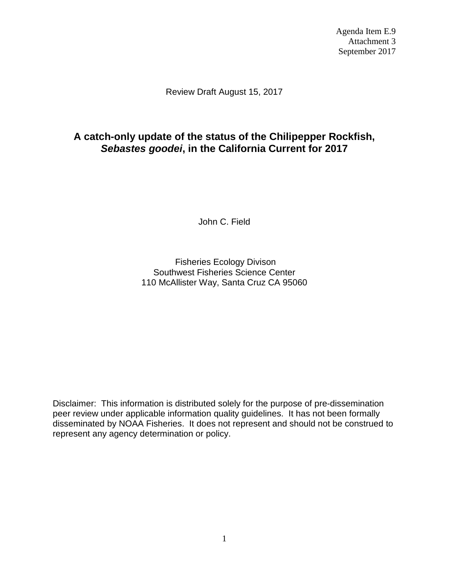Agenda Item E.9 Attachment 3 September 2017

Review Draft August 15, 2017

# **A catch-only update of the status of the Chilipepper Rockfish,**  *Sebastes goodei***, in the California Current for 2017**

John C. Field

Fisheries Ecology Divison Southwest Fisheries Science Center 110 McAllister Way, Santa Cruz CA 95060

Disclaimer: This information is distributed solely for the purpose of pre-dissemination peer review under applicable information quality guidelines. It has not been formally disseminated by NOAA Fisheries. It does not represent and should not be construed to represent any agency determination or policy.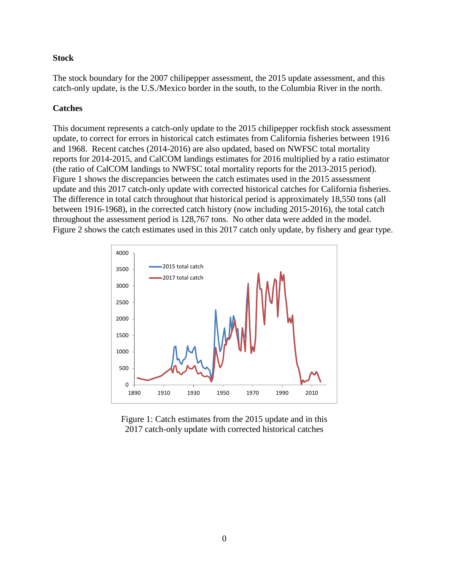#### **Stock**

The stock boundary for the 2007 chilipepper assessment, the 2015 update assessment, and this catch-only update, is the U.S./Mexico border in the south, to the Columbia River in the north.

### **Catches**

This document represents a catch-only update to the 2015 chilipepper rockfish stock assessment update, to correct for errors in historical catch estimates from California fisheries between 1916 and 1968. Recent catches (2014-2016) are also updated, based on NWFSC total mortality reports for 2014-2015, and CalCOM landings estimates for 2016 multiplied by a ratio estimator (the ratio of CalCOM landings to NWFSC total mortality reports for the 2013-2015 period). Figure 1 shows the discrepancies between the catch estimates used in the 2015 assessment update and this 2017 catch-only update with corrected historical catches for California fisheries. The difference in total catch throughout that historical period is approximately 18,550 tons (all between 1916-1968), in the corrected catch history (now including 2015-2016), the total catch throughout the assessment period is 128,767 tons. No other data were added in the model. Figure 2 shows the catch estimates used in this 2017 catch only update, by fishery and gear type.



Figure 1: Catch estimates from the 2015 update and in this 2017 catch-only update with corrected historical catches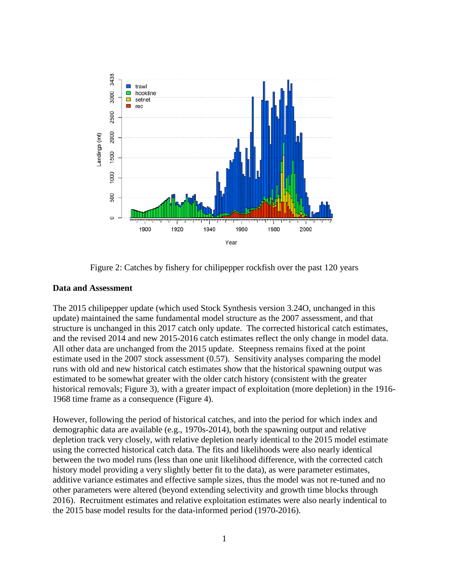

Figure 2: Catches by fishery for chilipepper rockfish over the past 120 years

#### **Data and Assessment**

The 2015 chilipepper update (which used Stock Synthesis version 3.24O, unchanged in this update) maintained the same fundamental model structure as the 2007 assessment, and that structure is unchanged in this 2017 catch only update. The corrected historical catch estimates, and the revised 2014 and new 2015-2016 catch estimates reflect the only change in model data. All other data are unchanged from the 2015 update. Steepness remains fixed at the point estimate used in the 2007 stock assessment (0.57). Sensitivity analyses comparing the model runs with old and new historical catch estimates show that the historical spawning output was estimated to be somewhat greater with the older catch history (consistent with the greater historical removals; Figure 3), with a greater impact of exploitation (more depletion) in the 1916- 1968 time frame as a consequence (Figure 4).

However, following the period of historical catches, and into the period for which index and demographic data are available (e.g., 1970s-2014), both the spawning output and relative depletion track very closely, with relative depletion nearly identical to the 2015 model estimate using the corrected historical catch data. The fits and likelihoods were also nearly identical between the two model runs (less than one unit likelihood difference, with the corrected catch history model providing a very slightly better fit to the data), as were parameter estimates, additive variance estimates and effective sample sizes, thus the model was not re-tuned and no other parameters were altered (beyond extending selectivity and growth time blocks through 2016). Recruitment estimates and relative exploitation estimates were also nearly indentical to the 2015 base model results for the data-informed period (1970-2016).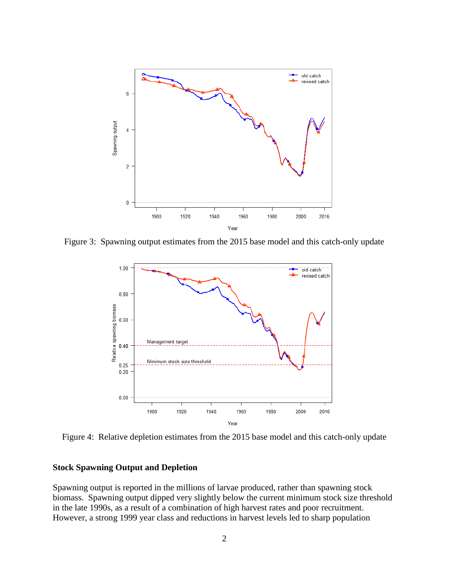

Figure 3: Spawning output estimates from the 2015 base model and this catch-only update



Figure 4: Relative depletion estimates from the 2015 base model and this catch-only update

#### **Stock Spawning Output and Depletion**

Spawning output is reported in the millions of larvae produced, rather than spawning stock biomass. Spawning output dipped very slightly below the current minimum stock size threshold in the late 1990s, as a result of a combination of high harvest rates and poor recruitment. However, a strong 1999 year class and reductions in harvest levels led to sharp population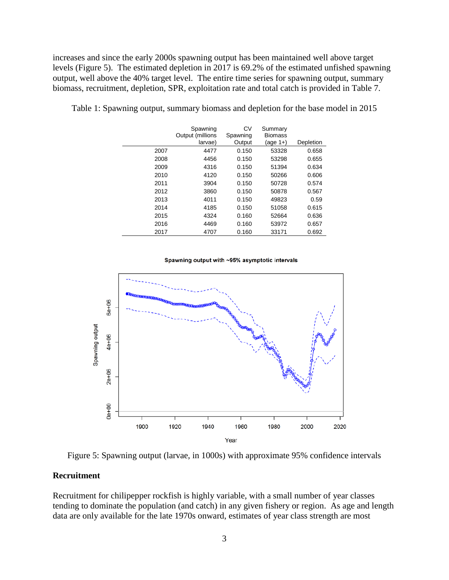increases and since the early 2000s spawning output has been maintained well above target levels (Figure 5). The estimated depletion in 2017 is 69.2% of the estimated unfished spawning output, well above the 40% target level. The entire time series for spawning output, summary biomass, recruitment, depletion, SPR, exploitation rate and total catch is provided in Table 7.

|      | Spawning<br>Output (millions<br>larvae) | CV<br>Spawning<br>Output | Summary<br><b>Biomass</b><br>(age 1+) | Depletion |
|------|-----------------------------------------|--------------------------|---------------------------------------|-----------|
| 2007 | 4477                                    | 0.150                    | 53328                                 | 0.658     |
| 2008 | 4456                                    | 0.150                    | 53298                                 | 0.655     |
| 2009 | 4316                                    | 0.150                    | 51394                                 | 0.634     |
| 2010 | 4120                                    | 0.150                    | 50266                                 | 0.606     |
| 2011 | 3904                                    | 0.150                    | 50728                                 | 0.574     |
| 2012 | 3860                                    | 0.150                    | 50878                                 | 0.567     |
| 2013 | 4011                                    | 0.150                    | 49823                                 | 0.59      |
| 2014 | 4185                                    | 0.150                    | 51058                                 | 0.615     |
| 2015 | 4324                                    | 0.160                    | 52664                                 | 0.636     |
| 2016 | 4469                                    | 0.160                    | 53972                                 | 0.657     |
| 2017 | 4707                                    | 0.160                    | 33171                                 | 0.692     |

Table 1: Spawning output, summary biomass and depletion for the base model in 2015

Spawning output with ~95% asymptotic intervals



Figure 5: Spawning output (larvae, in 1000s) with approximate 95% confidence intervals

#### **Recruitment**

Recruitment for chilipepper rockfish is highly variable, with a small number of year classes tending to dominate the population (and catch) in any given fishery or region. As age and length data are only available for the late 1970s onward, estimates of year class strength are most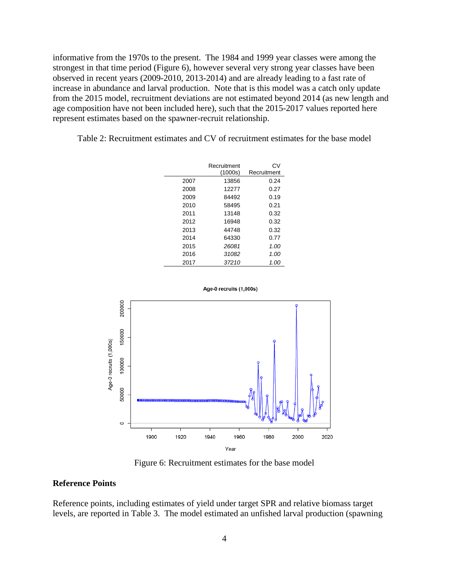informative from the 1970s to the present. The 1984 and 1999 year classes were among the strongest in that time period (Figure 6), however several very strong year classes have been observed in recent years (2009-2010, 2013-2014) and are already leading to a fast rate of increase in abundance and larval production. Note that is this model was a catch only update from the 2015 model, recruitment deviations are not estimated beyond 2014 (as new length and age composition have not been included here), such that the 2015-2017 values reported here represent estimates based on the spawner-recruit relationship.

Table 2: Recruitment estimates and CV of recruitment estimates for the base model

|      | Recruitment<br>(1000s) | CV<br>Recruitment |
|------|------------------------|-------------------|
| 2007 | 13856                  | 0.24              |
| 2008 | 12277                  | 0.27              |
| 2009 | 84492                  | 0.19              |
| 2010 | 58495                  | 0.21              |
| 2011 | 13148                  | 0.32              |
| 2012 | 16948                  | 0.32              |
| 2013 | 44748                  | 0.32              |
| 2014 | 64330                  | 0.77              |
| 2015 | 26081                  | 1.00              |
| 2016 | 31082                  | 1.00              |
| 2017 | 37210                  | 1.00              |



Figure 6: Recruitment estimates for the base model

#### **Reference Points**

Reference points, including estimates of yield under target SPR and relative biomass target levels, are reported in Table 3. The model estimated an unfished larval production (spawning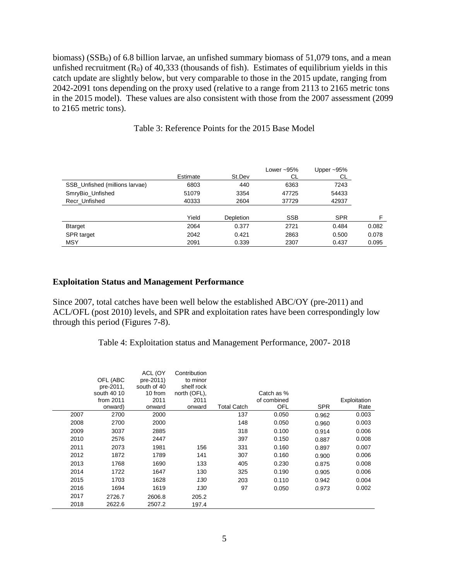biomass) ( $SSB<sub>0</sub>$ ) of 6.8 billion larvae, an unfished summary biomass of 51,079 tons, and a mean unfished recruitment  $(R_0)$  of 40,333 (thousands of fish). Estimates of equilibrium yields in this catch update are slightly below, but very comparable to those in the 2015 update, ranging from 2042-2091 tons depending on the proxy used (relative to a range from 2113 to 2165 metric tons in the 2015 model). These values are also consistent with those from the 2007 assessment (2099 to 2165 metric tons).

|                                | Estimate | St.Dev           | Lower $~1$ 95%<br>СL | Upper $~-95\%$<br>CL. |       |
|--------------------------------|----------|------------------|----------------------|-----------------------|-------|
| SSB Unfished (millions larvae) | 6803     | 440              | 6363                 | 7243                  |       |
| SmryBio_Unfished               | 51079    | 3354             | 47725                | 54433                 |       |
| Recr Unfished                  | 40333    | 2604             | 37729                | 42937                 |       |
|                                |          |                  |                      |                       |       |
|                                | Yield    | <b>Depletion</b> | <b>SSB</b>           | <b>SPR</b>            | F     |
| <b>B</b> target                | 2064     | 0.377            | 2721                 | 0.484                 | 0.082 |
| SPR target                     | 2042     | 0.421            | 2863                 | 0.500                 | 0.078 |
| <b>MSY</b>                     | 2091     | 0.339            | 2307                 | 0.437                 | 0.095 |

#### Table 3: Reference Points for the 2015 Base Model

#### **Exploitation Status and Management Performance**

Since 2007, total catches have been well below the established ABC/OY (pre-2011) and ACL/OFL (post 2010) levels, and SPR and exploitation rates have been correspondingly low through this period (Figures 7-8).

Table 4: Exploitation status and Management Performance, 2007- 2018

|      | OFL (ABC<br>pre-2011,<br>south 40 10<br>from $2011$<br>onward) | ACL (OY<br>pre-2011)<br>south of 40<br>10 from<br>2011<br>onward | Contribution<br>to minor<br>shelf rock<br>north (OFL),<br>2011<br>onward | <b>Total Catch</b> | Catch as %<br>of combined<br>OFL | <b>SPR</b> | Exploitation<br>Rate |
|------|----------------------------------------------------------------|------------------------------------------------------------------|--------------------------------------------------------------------------|--------------------|----------------------------------|------------|----------------------|
| 2007 | 2700                                                           | 2000                                                             |                                                                          | 137                | 0.050                            | 0.962      | 0.003                |
| 2008 | 2700                                                           | 2000                                                             |                                                                          | 148                | 0.050                            | 0.960      | 0.003                |
| 2009 | 3037                                                           | 2885                                                             |                                                                          | 318                | 0.100                            | 0.914      | 0.006                |
| 2010 | 2576                                                           | 2447                                                             |                                                                          | 397                | 0.150                            | 0.887      | 0.008                |
| 2011 | 2073                                                           | 1981                                                             | 156                                                                      | 331                | 0.160                            | 0.897      | 0.007                |
| 2012 | 1872                                                           | 1789                                                             | 141                                                                      | 307                | 0.160                            | 0.900      | 0.006                |
| 2013 | 1768                                                           | 1690                                                             | 133                                                                      | 405                | 0.230                            | 0.875      | 0.008                |
| 2014 | 1722                                                           | 1647                                                             | 130                                                                      | 325                | 0.190                            | 0.905      | 0.006                |
| 2015 | 1703                                                           | 1628                                                             | 130                                                                      | 203                | 0.110                            | 0.942      | 0.004                |
| 2016 | 1694                                                           | 1619                                                             | 130                                                                      | 97                 | 0.050                            | 0.973      | 0.002                |
| 2017 | 2726.7                                                         | 2606.8                                                           | 205.2                                                                    |                    |                                  |            |                      |
| 2018 | 2622.6                                                         | 2507.2                                                           | 197.4                                                                    |                    |                                  |            |                      |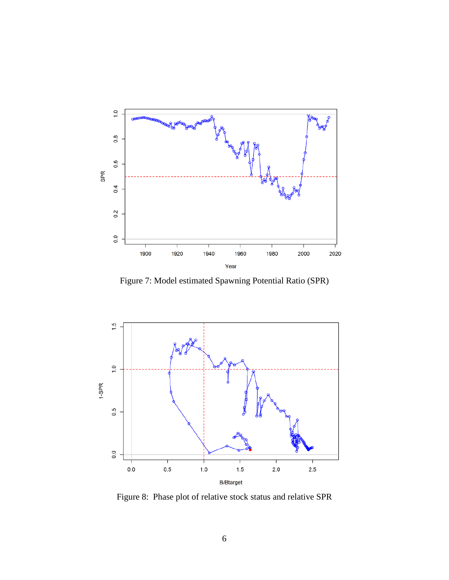

Figure 7: Model estimated Spawning Potential Ratio (SPR)



Figure 8: Phase plot of relative stock status and relative SPR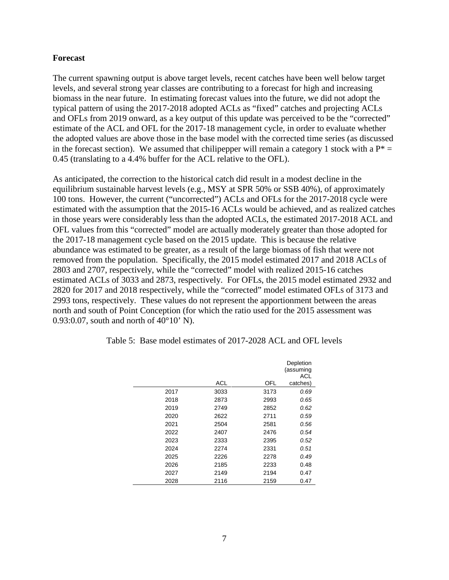#### **Forecast**

The current spawning output is above target levels, recent catches have been well below target levels, and several strong year classes are contributing to a forecast for high and increasing biomass in the near future. In estimating forecast values into the future, we did not adopt the typical pattern of using the 2017-2018 adopted ACLs as "fixed" catches and projecting ACLs and OFLs from 2019 onward, as a key output of this update was perceived to be the "corrected" estimate of the ACL and OFL for the 2017-18 management cycle, in order to evaluate whether the adopted values are above those in the base model with the corrected time series (as discussed in the forecast section). We assumed that chilipepper will remain a category 1 stock with a  $P^* =$ 0.45 (translating to a 4.4% buffer for the ACL relative to the OFL).

As anticipated, the correction to the historical catch did result in a modest decline in the equilibrium sustainable harvest levels (e.g., MSY at SPR 50% or SSB 40%), of approximately 100 tons. However, the current ("uncorrected") ACLs and OFLs for the 2017-2018 cycle were estimated with the assumption that the 2015-16 ACLs would be achieved, and as realized catches in those years were considerably less than the adopted ACLs, the estimated 2017-2018 ACL and OFL values from this "corrected" model are actually moderately greater than those adopted for the 2017-18 management cycle based on the 2015 update. This is because the relative abundance was estimated to be greater, as a result of the large biomass of fish that were not removed from the population. Specifically, the 2015 model estimated 2017 and 2018 ACLs of 2803 and 2707, respectively, while the "corrected" model with realized 2015-16 catches estimated ACLs of 3033 and 2873, respectively. For OFLs, the 2015 model estimated 2932 and 2820 for 2017 and 2018 respectively, while the "corrected" model estimated OFLs of 3173 and 2993 tons, respectively. These values do not represent the apportionment between the areas north and south of Point Conception (for which the ratio used for the 2015 assessment was 0.93:0.07, south and north of 40°10' N).

|      |            |      | Depletion<br>(assuming<br>ACL |
|------|------------|------|-------------------------------|
|      | <b>ACL</b> | OFL  | catches)                      |
| 2017 | 3033       | 3173 | 0.69                          |
| 2018 | 2873       | 2993 | 0.65                          |
| 2019 | 2749       | 2852 | 0.62                          |
| 2020 | 2622       | 2711 | 0.59                          |
| 2021 | 2504       | 2581 | 0.56                          |
| 2022 | 2407       | 2476 | 0.54                          |
| 2023 | 2333       | 2395 | 0.52                          |
| 2024 | 2274       | 2331 | 0.51                          |
| 2025 | 2226       | 2278 | 0.49                          |
| 2026 | 2185       | 2233 | 0.48                          |
| 2027 | 2149       | 2194 | 0.47                          |
| 2028 | 2116       | 2159 | 0.47                          |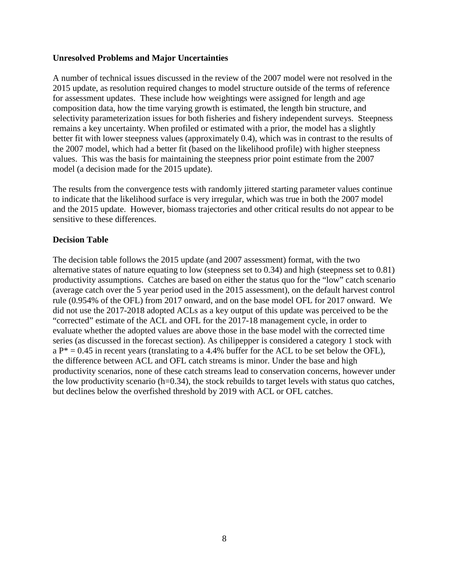#### **Unresolved Problems and Major Uncertainties**

A number of technical issues discussed in the review of the 2007 model were not resolved in the 2015 update, as resolution required changes to model structure outside of the terms of reference for assessment updates. These include how weightings were assigned for length and age composition data, how the time varying growth is estimated, the length bin structure, and selectivity parameterization issues for both fisheries and fishery independent surveys. Steepness remains a key uncertainty. When profiled or estimated with a prior, the model has a slightly better fit with lower steepness values (approximately 0.4), which was in contrast to the results of the 2007 model, which had a better fit (based on the likelihood profile) with higher steepness values. This was the basis for maintaining the steepness prior point estimate from the 2007 model (a decision made for the 2015 update).

The results from the convergence tests with randomly jittered starting parameter values continue to indicate that the likelihood surface is very irregular, which was true in both the 2007 model and the 2015 update. However, biomass trajectories and other critical results do not appear to be sensitive to these differences.

#### **Decision Table**

The decision table follows the 2015 update (and 2007 assessment) format, with the two alternative states of nature equating to low (steepness set to 0.34) and high (steepness set to 0.81) productivity assumptions. Catches are based on either the status quo for the "low" catch scenario (average catch over the 5 year period used in the 2015 assessment), on the default harvest control rule (0.954% of the OFL) from 2017 onward, and on the base model OFL for 2017 onward. We did not use the 2017-2018 adopted ACLs as a key output of this update was perceived to be the "corrected" estimate of the ACL and OFL for the 2017-18 management cycle, in order to evaluate whether the adopted values are above those in the base model with the corrected time series (as discussed in the forecast section). As chilipepper is considered a category 1 stock with  $a P^* = 0.45$  in recent years (translating to a 4.4% buffer for the ACL to be set below the OFL), the difference between ACL and OFL catch streams is minor. Under the base and high productivity scenarios, none of these catch streams lead to conservation concerns, however under the low productivity scenario (h=0.34), the stock rebuilds to target levels with status quo catches, but declines below the overfished threshold by 2019 with ACL or OFL catches.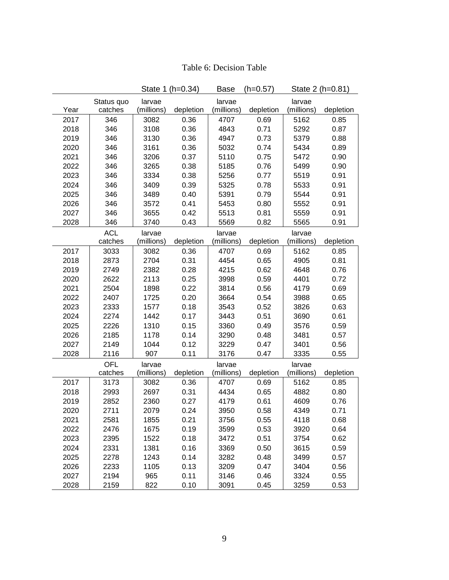|      |            |            | State 1 (h=0.34) | <b>Base</b> | $(h=0.57)$ |            | State 2 (h=0.81) |
|------|------------|------------|------------------|-------------|------------|------------|------------------|
|      | Status quo | larvae     |                  | larvae      |            | larvae     |                  |
| Year | catches    | (millions) | depletion        | (millions)  | depletion  | (millions) | depletion        |
| 2017 | 346        | 3082       | 0.36             | 4707        | 0.69       | 5162       | 0.85             |
| 2018 | 346        | 3108       | 0.36             | 4843        | 0.71       | 5292       | 0.87             |
| 2019 | 346        | 3130       | 0.36             | 4947        | 0.73       | 5379       | 0.88             |
| 2020 | 346        | 3161       | 0.36             | 5032        | 0.74       | 5434       | 0.89             |
| 2021 | 346        | 3206       | 0.37             | 5110        | 0.75       | 5472       | 0.90             |
| 2022 | 346        | 3265       | 0.38             | 5185        | 0.76       | 5499       | 0.90             |
| 2023 | 346        | 3334       | 0.38             | 5256        | 0.77       | 5519       | 0.91             |
| 2024 | 346        | 3409       | 0.39             | 5325        | 0.78       | 5533       | 0.91             |
| 2025 | 346        | 3489       | 0.40             | 5391        | 0.79       | 5544       | 0.91             |
| 2026 | 346        | 3572       | 0.41             | 5453        | 0.80       | 5552       | 0.91             |
| 2027 | 346        | 3655       | 0.42             | 5513        | 0.81       | 5559       | 0.91             |
| 2028 | 346        | 3740       | 0.43             | 5569        | 0.82       | 5565       | 0.91             |
|      | <b>ACL</b> | larvae     |                  | larvae      |            | larvae     |                  |
|      | catches    | (millions) | depletion        | (millions)  | depletion  | (millions) | depletion        |
| 2017 | 3033       | 3082       | 0.36             | 4707        | 0.69       | 5162       | 0.85             |
| 2018 | 2873       | 2704       | 0.31             | 4454        | 0.65       | 4905       | 0.81             |
| 2019 | 2749       | 2382       | 0.28             | 4215        | 0.62       | 4648       | 0.76             |
| 2020 | 2622       | 2113       | 0.25             | 3998        | 0.59       | 4401       | 0.72             |
| 2021 | 2504       | 1898       | 0.22             | 3814        | 0.56       | 4179       | 0.69             |
| 2022 | 2407       | 1725       | 0.20             | 3664        | 0.54       | 3988       | 0.65             |
| 2023 | 2333       | 1577       | 0.18             | 3543        | 0.52       | 3826       | 0.63             |
| 2024 | 2274       | 1442       | 0.17             | 3443        | 0.51       | 3690       | 0.61             |
| 2025 | 2226       | 1310       | 0.15             | 3360        | 0.49       | 3576       | 0.59             |
| 2026 | 2185       | 1178       | 0.14             | 3290        | 0.48       | 3481       | 0.57             |
| 2027 | 2149       | 1044       | 0.12             | 3229        | 0.47       | 3401       | 0.56             |
| 2028 | 2116       | 907        | 0.11             | 3176        | 0.47       | 3335       | 0.55             |
|      | <b>OFL</b> | larvae     |                  | larvae      |            | larvae     |                  |
|      | catches    | (millions) | depletion        | (millions)  | depletion  | (millions) | depletion        |
| 2017 | 3173       | 3082       | 0.36             | 4707        | 0.69       | 5162       | 0.85             |
| 2018 | 2993       | 2697       | 0.31             | 4434        | 0.65       | 4882       | 0.80             |
| 2019 | 2852       | 2360       | 0.27             | 4179        | 0.61       | 4609       | 0.76             |
| 2020 | 2711       | 2079       | 0.24             | 3950        | 0.58       | 4349       | 0.71             |
| 2021 | 2581       | 1855       | 0.21             | 3756        | 0.55       | 4118       | 0.68             |
| 2022 | 2476       | 1675       | 0.19             | 3599        | 0.53       | 3920       | 0.64             |
| 2023 | 2395       | 1522       | 0.18             | 3472        | 0.51       | 3754       | 0.62             |
| 2024 | 2331       | 1381       | 0.16             | 3369        | 0.50       | 3615       | 0.59             |
| 2025 | 2278       | 1243       | 0.14             | 3282        | 0.48       | 3499       | 0.57             |
| 2026 | 2233       | 1105       | 0.13             | 3209        | 0.47       | 3404       | 0.56             |
| 2027 | 2194       | 965        | 0.11             | 3146        | 0.46       | 3324       | 0.55             |
| 2028 | 2159       | 822        | 0.10             | 3091        | 0.45       | 3259       | 0.53             |

| Table 6: Decision Table |  |  |
|-------------------------|--|--|
|-------------------------|--|--|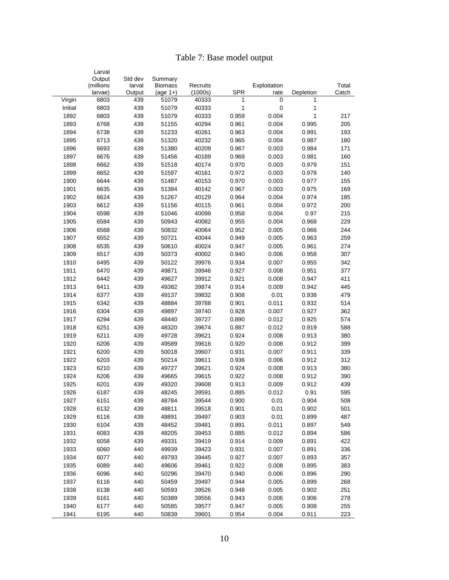### Table 7: Base model output

|         | Larval<br>Output | Std dev | Summary        |          |            |              |           |       |
|---------|------------------|---------|----------------|----------|------------|--------------|-----------|-------|
|         | (millions        | larval  | <b>Biomass</b> | Recruits |            | Exploitation |           | Total |
|         | larvae)          | Output  | (age $1+$ )    | (1000s)  | <b>SPR</b> | rate         | Depletion | Catch |
| Virgin  | 6803             | 439     | 51079          | 40333    | 1          | 0            | 1         |       |
| Initial | 6803             | 439     | 51079          | 40333    | 1          | $\mathbf 0$  | 1         |       |
| 1892    | 6803             | 439     | 51079          | 40333    | 0.959      | 0.004        | 1         | 217   |
| 1893    | 6768             | 439     | 51155          | 40294    | 0.961      | 0.004        | 0.995     | 205   |
| 1894    | 6738             | 439     | 51233          | 40261    | 0.963      | 0.004        | 0.991     | 193   |
| 1895    | 6713             | 439     | 51320          | 40232    | 0.965      | 0.004        | 0.987     | 180   |
| 1896    | 6693             | 439     | 51380          | 40209    | 0.967      | 0.003        | 0.984     | 171   |
| 1897    | 6676             | 439     | 51456          | 40189    | 0.969      | 0.003        | 0.981     | 160   |
| 1898    | 6662             | 439     | 51518          | 40174    | 0.970      | 0.003        | 0.979     | 151   |
| 1899    | 6652             | 439     | 51597          | 40161    | 0.972      | 0.003        | 0.978     | 140   |
| 1900    | 6644             | 439     | 51487          | 40153    | 0.970      | 0.003        | 0.977     | 155   |
| 1901    | 6635             | 439     | 51384          | 40142    | 0.967      | 0.003        | 0.975     | 169   |
| 1902    | 6624             | 439     | 51267          | 40129    | 0.964      | 0.004        | 0.974     | 185   |
| 1903    | 6612             | 439     | 51156          | 40115    | 0.961      | 0.004        | 0.972     | 200   |
| 1904    | 6598             | 439     | 51046          | 40099    | 0.958      | 0.004        | 0.97      | 215   |
| 1905    | 6584             | 439     | 50943          | 40082    | 0.955      | 0.004        | 0.968     | 229   |
| 1906    | 6568             | 439     | 50832          | 40064    | 0.952      | 0.005        | 0.966     | 244   |
| 1907    | 6552             | 439     | 50721          | 40044    | 0.949      | 0.005        | 0.963     | 259   |
| 1908    | 6535             | 439     | 50610          | 40024    | 0.947      | 0.005        | 0.961     | 274   |
| 1909    | 6517             | 439     | 50373          | 40002    | 0.940      | 0.006        | 0.958     | 307   |
| 1910    | 6495             | 439     | 50122          | 39976    | 0.934      | 0.007        | 0.955     | 342   |
| 1911    | 6470             | 439     | 49871          | 39946    | 0.927      | 0.008        | 0.951     | 377   |
| 1912    | 6442             | 439     | 49627          | 39912    | 0.921      | 0.008        | 0.947     | 411   |
| 1913    | 6411             | 439     | 49382          | 39874    | 0.914      | 0.009        | 0.942     | 445   |
| 1914    | 6377             | 439     | 49137          | 39832    | 0.908      | 0.01         | 0.938     | 479   |
| 1915    | 6342             | 439     | 48884          | 39788    | 0.901      | 0.011        | 0.932     | 514   |
| 1916    | 6304             | 439     | 49897          | 39740    | 0.928      | 0.007        | 0.927     | 362   |
| 1917    | 6294             | 439     | 48440          | 39727    | 0.890      | 0.012        | 0.925     | 574   |
| 1918    | 6251             | 439     | 48320          | 39674    | 0.887      | 0.012        | 0.919     | 588   |
| 1919    | 6211             | 439     | 49728          | 39621    | 0.924      | 0.008        | 0.913     | 380   |
| 1920    | 6206             | 439     | 49589          | 39616    | 0.920      | 0.008        | 0.912     | 399   |
| 1921    | 6200             | 439     | 50018          | 39607    | 0.931      | 0.007        | 0.911     | 339   |
| 1922    | 6203             | 439     | 50214          | 39611    | 0.936      | 0.006        | 0.912     | 312   |
| 1923    | 6210             | 439     | 49727          | 39621    | 0.924      | 0.008        | 0.913     | 380   |
| 1924    | 6206             | 439     | 49665          | 39615    | 0.922      | 0.008        | 0.912     | 390   |
| 1925    | 6201             | 439     | 49320          | 39608    | 0.913      | 0.009        | 0.912     | 439   |
| 1926    | 6187             | 439     | 48245          | 39591    | 0.885      | 0.012        | 0.91      | 595   |
| 1927    | 6151             | 439     | 48784          | 39544    | 0.900      | 0.01         | 0.904     | 508   |
| 1928    | 6132             | 439     | 48811          | 39518    | 0.901      | 0.01         | 0.902     | 501   |
| 1929    | 6116             | 439     | 48891          | 39497    | 0.903      | 0.01         | 0.899     | 487   |
| 1930    | 6104             | 439     | 48452          | 39481    | 0.891      | 0.011        | 0.897     | 549   |
| 1931    | 6083             | 439     | 48205          | 39453    | 0.885      | 0.012        | 0.894     | 586   |
| 1932    | 6058             | 439     | 49331          | 39419    | 0.914      | 0.009        | 0.891     | 422   |
| 1933    | 6060             | 440     | 49939          | 39423    | 0.931      | 0.007        | 0.891     | 336   |
| 1934    | 6077             | 440     | 49793          | 39445    | 0.927      | 0.007        | 0.893     | 357   |
| 1935    | 6089             | 440     | 49606          | 39461    | 0.922      | 0.008        | 0.895     | 383   |
| 1936    | 6096             | 440     | 50296          | 39470    | 0.940      | 0.006        | 0.896     | 290   |
| 1937    | 6116             | 440     | 50459          | 39497    | 0.944      | 0.005        | 0.899     | 268   |
| 1938    | 6138             | 440     | 50593          | 39526    | 0.948      | 0.005        | 0.902     | 251   |
| 1939    | 6161             | 440     | 50389          | 39556    | 0.943      | 0.006        | 0.906     | 278   |
| 1940    | 6177             | 440     | 50585          | 39577    | 0.947      | 0.005        | 0.908     | 255   |
| 1941    | 6195             | 440     | 50839          | 39601    | 0.954      | 0.004        | 0.911     | 223   |
|         |                  |         |                |          |            |              |           |       |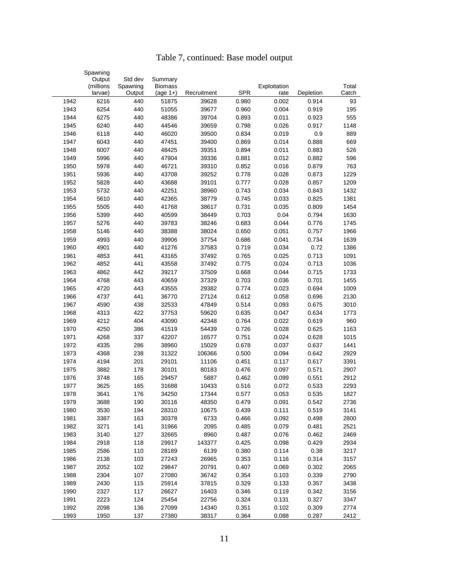|      | Spawning             |                    |                              |             |            |                      |           |                |
|------|----------------------|--------------------|------------------------------|-------------|------------|----------------------|-----------|----------------|
|      | Output               | Std dev            | Summary                      |             |            |                      |           |                |
|      | (millions<br>larvae) | Spawning<br>Output | <b>Biomass</b><br>$(age 1+)$ | Recruitment | <b>SPR</b> | Exploitation<br>rate | Depletion | Total<br>Catch |
| 1942 | 6216                 | 440                | 51875                        | 39628       | 0.980      | 0.002                | 0.914     | 93             |
| 1943 | 6254                 | 440                | 51055                        | 39677       | 0.960      | 0.004                | 0.919     | 195            |
| 1944 | 6275                 | 440                | 48386                        | 39704       | 0.893      | 0.011                | 0.923     | 555            |
| 1945 | 6240                 | 440                | 44546                        | 39659       | 0.798      | 0.026                | 0.917     | 1148           |
| 1946 | 6118                 | 440                | 46020                        | 39500       | 0.834      | 0.019                | 0.9       | 889            |
| 1947 | 6043                 | 440                | 47451                        | 39400       | 0.869      | 0.014                | 0.888     | 669            |
| 1948 | 6007                 | 440                | 48425                        | 39351       | 0.894      | 0.011                | 0.883     | 526            |
| 1949 | 5996                 | 440                | 47904                        | 39336       | 0.881      | 0.012                | 0.882     | 596            |
| 1950 | 5978                 | 440                | 46721                        | 39310       | 0.852      | 0.016                | 0.879     | 763            |
| 1951 | 5936                 | 440                | 43708                        | 39252       | 0.778      | 0.028                | 0.873     | 1229           |
| 1952 | 5828                 | 440                | 43688                        | 39101       | 0.777      | 0.028                | 0.857     | 1209           |
| 1953 | 5732                 | 440                | 42251                        | 38960       | 0.743      | 0.034                | 0.843     | 1432           |
| 1954 | 5610                 | 440                | 42365                        | 38779       | 0.745      | 0.033                | 0.825     | 1381           |
| 1955 | 5505                 | 440                | 41768                        | 38617       | 0.731      | 0.035                | 0.809     | 1454           |
| 1956 | 5399                 | 440                | 40599                        | 38449       | 0.703      | 0.04                 | 0.794     | 1630           |
|      | 5276                 | 440                |                              |             |            | 0.044                | 0.776     | 1745           |
| 1957 |                      |                    | 39783                        | 38246       | 0.683      |                      |           |                |
| 1958 | 5146                 | 440                | 38388                        | 38024       | 0.650      | 0.051                | 0.757     | 1966           |
| 1959 | 4993                 | 440                | 39906                        | 37754       | 0.686      | 0.041                | 0.734     | 1639           |
| 1960 | 4901                 | 440                | 41276                        | 37583       | 0.719      | 0.034                | 0.72      | 1386           |
| 1961 | 4853                 | 441                | 43165                        | 37492       | 0.765      | 0.025                | 0.713     | 1091           |
| 1962 | 4852                 | 441                | 43558                        | 37492       | 0.775      | 0.024                | 0.713     | 1036           |
| 1963 | 4862                 | 442                | 39217                        | 37509       | 0.668      | 0.044                | 0.715     | 1733           |
| 1964 | 4768                 | 443                | 40659                        | 37329       | 0.703      | 0.036                | 0.701     | 1455           |
| 1965 | 4720                 | 443                | 43555                        | 29382       | 0.774      | 0.023                | 0.694     | 1009           |
| 1966 | 4737                 | 441                | 36770                        | 27124       | 0.612      | 0.058                | 0.696     | 2130           |
| 1967 | 4590                 | 438                | 32533                        | 47849       | 0.514      | 0.093                | 0.675     | 3010           |
| 1968 | 4313                 | 422                | 37753                        | 59620       | 0.635      | 0.047                | 0.634     | 1773           |
| 1969 | 4212                 | 404                | 43090                        | 42348       | 0.764      | 0.022                | 0.619     | 960            |
| 1970 | 4250                 | 386                | 41519                        | 54439       | 0.726      | 0.028                | 0.625     | 1163           |
| 1971 | 4268                 | 337                | 42207                        | 16577       | 0.751      | 0.024                | 0.628     | 1015           |
| 1972 | 4335                 | 286                | 38960                        | 15029       | 0.678      | 0.037                | 0.637     | 1441           |
| 1973 | 4368                 | 238                | 31322                        | 106366      | 0.500      | 0.094                | 0.642     | 2929           |
| 1974 | 4194                 | 201                | 29101                        | 11106       | 0.451      | 0.117                | 0.617     | 3391           |
| 1975 | 3882                 | 178                | 30101                        | 80183       | 0.476      | 0.097                | 0.571     | 2907           |
| 1976 | 3748                 | 165                | 29457                        | 5887        | 0.462      | 0.099                | 0.551     | 2912           |
| 1977 | 3625                 | 165                | 31688                        | 10433       | 0.516      | 0.072                | 0.533     | 2293           |
| 1978 | 3641                 | 176                | 34250                        | 17344       | 0.577      | 0.053                | 0.535     | 1827           |
| 1979 | 3688                 | 190                | 30116                        | 48350       | 0.479      | 0.091                | 0.542     | 2736           |
| 1980 | 3530                 | 194                | 28310                        | 10675       | 0.439      | 0.111                | 0.519     | 3141           |
| 1981 | 3387                 | 163                | 30378                        | 6733        | 0.466      | 0.092                | 0.498     | 2800           |
| 1982 | 3271                 | 141                | 31966                        | 2095        | 0.485      | 0.079                | 0.481     | 2521           |
| 1983 | 3140                 | 127                | 32665                        | 8960        | 0.487      | 0.076                | 0.462     | 2469           |
| 1984 | 2918                 | 118                | 29917                        | 143377      | 0.425      | 0.098                | 0.429     | 2934           |
| 1985 | 2586                 | 110                | 28189                        | 6139        | 0.380      | 0.114                | 0.38      | 3217           |
| 1986 | 2138                 | 103                | 27243                        | 26965       | 0.353      | 0.116                | 0.314     | 3157           |
| 1987 | 2052                 | 102                | 29847                        | 20791       | 0.407      | 0.069                | 0.302     | 2065           |
| 1988 | 2304                 | 107                | 27080                        | 36742       | 0.354      | 0.103                | 0.339     | 2790           |
| 1989 | 2430                 | 115                | 25914                        | 37815       | 0.329      | 0.133                | 0.357     | 3438           |
| 1990 | 2327                 | 117                | 26627                        | 16403       | 0.346      | 0.119                | 0.342     | 3156           |
| 1991 | 2223                 | 124                | 25454                        | 22756       | 0.324      | 0.131                | 0.327     | 3347           |
| 1992 | 2098                 | 136                | 27099                        | 14340       | 0.351      | 0.102                | 0.309     | 2774           |
| 1993 | 1950                 | 137                | 27380                        | 38317       | 0.364      | 0.088                | 0.287     | 2412           |

## Table 7, continued: Base model output